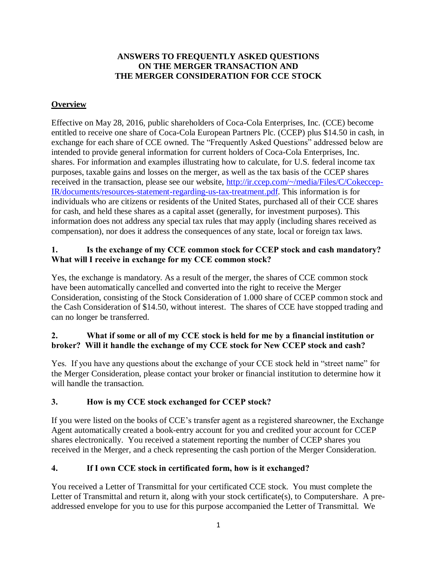## **ANSWERS TO FREQUENTLY ASKED QUESTIONS ON THE MERGER TRANSACTION AND THE MERGER CONSIDERATION FOR CCE STOCK**

# **Overview**

Effective on May 28, 2016, public shareholders of Coca-Cola Enterprises, Inc. (CCE) become entitled to receive one share of Coca-Cola European Partners Plc. (CCEP) plus \$14.50 in cash, in exchange for each share of CCE owned. The "Frequently Asked Questions" addressed below are intended to provide general information for current holders of Coca-Cola Enterprises, Inc. shares. For information and examples illustrating how to calculate, for U.S. federal income tax purposes, taxable gains and losses on the merger, as well as the tax basis of the CCEP shares received in the transaction, please see our website, [http://ir.ccep.com/~/media/Files/C/Cokeccep-](http://ir.ccep.com/~/media/Files/C/Cokeccep-IR/documents/resources-statement-regarding-us-tax-treatment.pdf)[IR/documents/resources-statement-regarding-us-tax-treatment.pdf.](http://ir.ccep.com/~/media/Files/C/Cokeccep-IR/documents/resources-statement-regarding-us-tax-treatment.pdf) This information is for individuals who are citizens or residents of the United States, purchased all of their CCE shares for cash, and held these shares as a capital asset (generally, for investment purposes). This information does not address any special tax rules that may apply (including shares received as compensation), nor does it address the consequences of any state, local or foreign tax laws.

#### **1. Is the exchange of my CCE common stock for CCEP stock and cash mandatory? What will I receive in exchange for my CCE common stock?**

Yes, the exchange is mandatory. As a result of the merger, the shares of CCE common stock have been automatically cancelled and converted into the right to receive the Merger Consideration, consisting of the Stock Consideration of 1.000 share of CCEP common stock and the Cash Consideration of \$14.50, without interest. The shares of CCE have stopped trading and can no longer be transferred.

# **2. What if some or all of my CCE stock is held for me by a financial institution or broker? Will it handle the exchange of my CCE stock for New CCEP stock and cash?**

Yes. If you have any questions about the exchange of your CCE stock held in "street name" for the Merger Consideration, please contact your broker or financial institution to determine how it will handle the transaction.

#### **3. How is my CCE stock exchanged for CCEP stock?**

If you were listed on the books of CCE's transfer agent as a registered shareowner, the Exchange Agent automatically created a book-entry account for you and credited your account for CCEP shares electronically. You received a statement reporting the number of CCEP shares you received in the Merger, and a check representing the cash portion of the Merger Consideration.

# **4. If I own CCE stock in certificated form, how is it exchanged?**

You received a Letter of Transmittal for your certificated CCE stock. You must complete the Letter of Transmittal and return it, along with your stock certificate(s), to Computershare. A preaddressed envelope for you to use for this purpose accompanied the Letter of Transmittal. We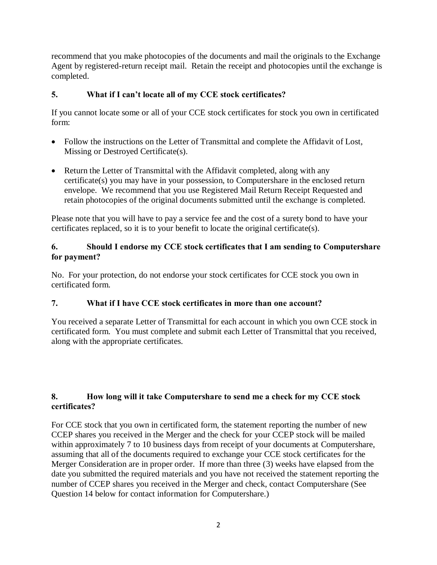recommend that you make photocopies of the documents and mail the originals to the Exchange Agent by registered-return receipt mail. Retain the receipt and photocopies until the exchange is completed.

# **5. What if I can't locate all of my CCE stock certificates?**

If you cannot locate some or all of your CCE stock certificates for stock you own in certificated form:

- Follow the instructions on the Letter of Transmittal and complete the Affidavit of Lost, Missing or Destroyed Certificate(s).
- Return the Letter of Transmittal with the Affidavit completed, along with any certificate(s) you may have in your possession, to Computershare in the enclosed return envelope. We recommend that you use Registered Mail Return Receipt Requested and retain photocopies of the original documents submitted until the exchange is completed.

Please note that you will have to pay a service fee and the cost of a surety bond to have your certificates replaced, so it is to your benefit to locate the original certificate(s).

## **6. Should I endorse my CCE stock certificates that I am sending to Computershare for payment?**

No. For your protection, do not endorse your stock certificates for CCE stock you own in certificated form.

# **7. What if I have CCE stock certificates in more than one account?**

You received a separate Letter of Transmittal for each account in which you own CCE stock in certificated form. You must complete and submit each Letter of Transmittal that you received, along with the appropriate certificates.

# **8. How long will it take Computershare to send me a check for my CCE stock certificates?**

For CCE stock that you own in certificated form, the statement reporting the number of new CCEP shares you received in the Merger and the check for your CCEP stock will be mailed within approximately 7 to 10 business days from receipt of your documents at Computershare, assuming that all of the documents required to exchange your CCE stock certificates for the Merger Consideration are in proper order. If more than three (3) weeks have elapsed from the date you submitted the required materials and you have not received the statement reporting the number of CCEP shares you received in the Merger and check, contact Computershare (See Question 14 below for contact information for Computershare.)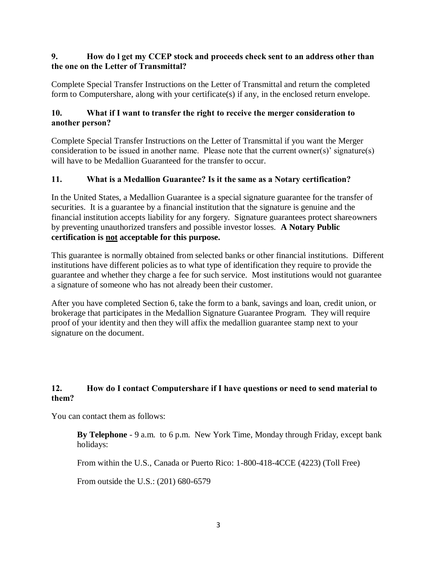### **9. How do l get my CCEP stock and proceeds check sent to an address other than the one on the Letter of Transmittal?**

Complete Special Transfer Instructions on the Letter of Transmittal and return the completed form to Computershare, along with your certificate(s) if any, in the enclosed return envelope.

# **10. What if I want to transfer the right to receive the merger consideration to another person?**

Complete Special Transfer Instructions on the Letter of Transmittal if you want the Merger consideration to be issued in another name. Please note that the current owner(s)' signature(s) will have to be Medallion Guaranteed for the transfer to occur.

# **11. What is a Medallion Guarantee? Is it the same as a Notary certification?**

In the United States, a Medallion Guarantee is a special signature guarantee for the transfer of securities. It is a guarantee by a financial institution that the signature is genuine and the financial institution accepts liability for any forgery. Signature guarantees protect shareowners by preventing unauthorized transfers and possible investor losses. **A Notary Public certification is not acceptable for this purpose.**

This guarantee is normally obtained from selected banks or other financial institutions. Different institutions have different policies as to what type of identification they require to provide the guarantee and whether they charge a fee for such service. Most institutions would not guarantee a signature of someone who has not already been their customer.

After you have completed Section 6, take the form to a bank, savings and loan, credit union, or brokerage that participates in the Medallion Signature Guarantee Program. They will require proof of your identity and then they will affix the medallion guarantee stamp next to your signature on the document.

# **12. How do I contact Computershare if I have questions or need to send material to them?**

You can contact them as follows:

**By Telephone** - 9 a.m. to 6 p.m. New York Time, Monday through Friday, except bank holidays:

From within the U.S., Canada or Puerto Rico: 1-800-418-4CCE (4223) (Toll Free)

From outside the U.S.: (201) 680-6579